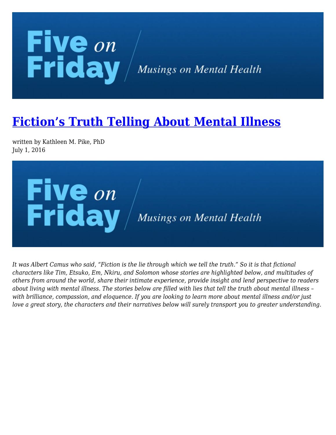## **Five** on<br>Friday / Musings on Mental Health

## **[Fiction's Truth Telling About Mental Illness](https://kathypikephd.com/five-on-friday/fictions-truth-telling-about-mental-illness/)**

written by Kathleen M. Pike, PhD July 1, 2016



*It was Albert Camus who said, "Fiction is the lie through which we tell the truth." So it is that fictional characters like Tim, Etsuko, Em, Nkiru, and Solomon whose stories are highlighted below, and multitudes of others from around the world, share their intimate experience, provide insight and lend perspective to readers about living with mental illness. The stories below are filled with lies that tell the truth about mental illness – with brilliance, compassion, and eloquence. If you are looking to learn more about mental illness and/or just love a great story, the characters and their narratives below will surely transport you to greater understanding.*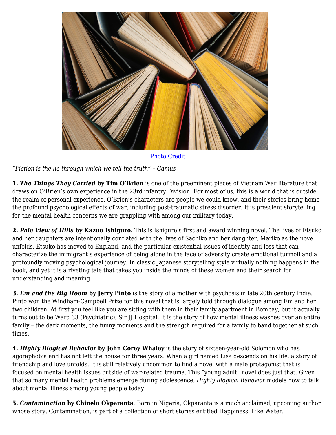

[Photo Credit](https://stock.adobe.com/296552751?asset_id=296552751)

*"Fiction is the lie through which we tell the truth" – Camus*

**1.** *The Things They Carried* **by Tim O'Brien** is one of the preeminent pieces of Vietnam War literature that draws on O'Brien's own experience in the 23rd infantry Division. For most of us, this is a world that is outside the realm of personal experience. O'Brien's characters are people we could know, and their stories bring home the profound psychological effects of war, including post-traumatic stress disorder. It is prescient storytelling for the mental health concerns we are grappling with among our military today.

**2.** *Pale View of Hills* **by Kazuo Ishiguro.** This is Ishiguro's first and award winning novel. The lives of Etsuko and her daughters are intentionally conflated with the lives of Sachiko and her daughter, Mariko as the novel unfolds. Etsuko has moved to England, and the particular existential issues of identity and loss that can characterize the immigrant's experience of being alone in the face of adversity create emotional turmoil and a profoundly moving psychological journey. In classic Japanese storytelling style virtually nothing happens in the book, and yet it is a riveting tale that takes you inside the minds of these women and their search for understanding and meaning.

**3.** *Em and the Big Hoom* **by Jerry Pinto** is the story of a mother with psychosis in late 20th century India. Pinto won the Windham-Campbell Prize for this novel that is largely told through dialogue among Em and her two children. At first you feel like you are sitting with them in their family apartment in Bombay, but it actually turns out to be Ward 33 (Psychiatric), Sir JJ Hospital. It is the story of how mental illness washes over an entire family – the dark moments, the funny moments and the strength required for a family to band together at such times.

**4.** *Highly Illogical Behavior* **by John Corey Whaley** is the story of sixteen-year-old Solomon who has agoraphobia and has not left the house for three years. When a girl named Lisa descends on his life, a story of friendship and love unfolds. It is still relatively uncommon to find a novel with a male protagonist that is focused on mental health issues outside of war-related trauma. This "young adult" novel does just that. Given that so many mental health problems emerge during adolescence, *Highly Illogical Behavior* models how to talk about mental illness among young people today.

**5.** *Contamination* **by Chinelo Okparanta**. Born in Nigeria, Okparanta is a much acclaimed, upcoming author whose story, Contamination, is part of a collection of short stories entitled Happiness, Like Water.